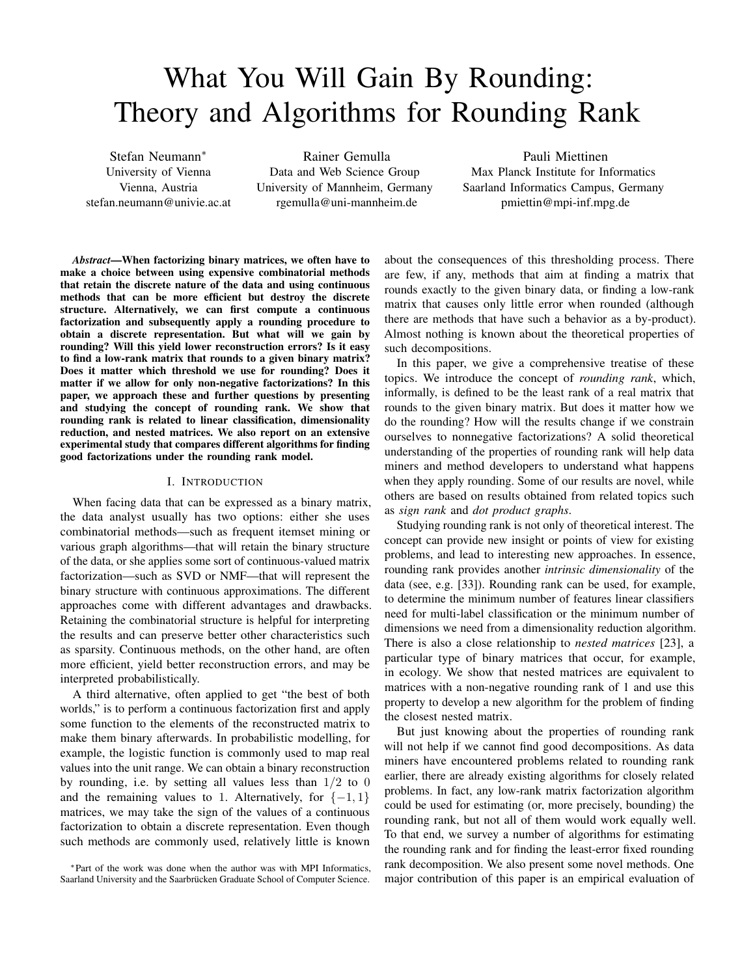# What You Will Gain By Rounding: Theory and Algorithms for Rounding Rank

Stefan Neumann<sup>∗</sup> University of Vienna Vienna, Austria stefan.neumann@univie.ac.at

Rainer Gemulla Data and Web Science Group University of Mannheim, Germany rgemulla@uni-mannheim.de

Pauli Miettinen Max Planck Institute for Informatics Saarland Informatics Campus, Germany pmiettin@mpi-inf.mpg.de

*Abstract*—When factorizing binary matrices, we often have to make a choice between using expensive combinatorial methods that retain the discrete nature of the data and using continuous methods that can be more efficient but destroy the discrete structure. Alternatively, we can first compute a continuous factorization and subsequently apply a rounding procedure to obtain a discrete representation. But what will we gain by rounding? Will this yield lower reconstruction errors? Is it easy to find a low-rank matrix that rounds to a given binary matrix? Does it matter which threshold we use for rounding? Does it matter if we allow for only non-negative factorizations? In this paper, we approach these and further questions by presenting and studying the concept of rounding rank. We show that rounding rank is related to linear classification, dimensionality reduction, and nested matrices. We also report on an extensive experimental study that compares different algorithms for finding good factorizations under the rounding rank model.

#### I. INTRODUCTION

When facing data that can be expressed as a binary matrix, the data analyst usually has two options: either she uses combinatorial methods—such as frequent itemset mining or various graph algorithms—that will retain the binary structure of the data, or she applies some sort of continuous-valued matrix factorization—such as SVD or NMF—that will represent the binary structure with continuous approximations. The different approaches come with different advantages and drawbacks. Retaining the combinatorial structure is helpful for interpreting the results and can preserve better other characteristics such as sparsity. Continuous methods, on the other hand, are often more efficient, yield better reconstruction errors, and may be interpreted probabilistically.

A third alternative, often applied to get "the best of both worlds," is to perform a continuous factorization first and apply some function to the elements of the reconstructed matrix to make them binary afterwards. In probabilistic modelling, for example, the logistic function is commonly used to map real values into the unit range. We can obtain a binary reconstruction by rounding, i.e. by setting all values less than  $1/2$  to 0 and the remaining values to 1. Alternatively, for  $\{-1, 1\}$ matrices, we may take the sign of the values of a continuous factorization to obtain a discrete representation. Even though such methods are commonly used, relatively little is known

<sup>∗</sup>Part of the work was done when the author was with MPI Informatics, Saarland University and the Saarbrücken Graduate School of Computer Science. about the consequences of this thresholding process. There are few, if any, methods that aim at finding a matrix that rounds exactly to the given binary data, or finding a low-rank matrix that causes only little error when rounded (although there are methods that have such a behavior as a by-product). Almost nothing is known about the theoretical properties of such decompositions.

In this paper, we give a comprehensive treatise of these topics. We introduce the concept of *rounding rank*, which, informally, is defined to be the least rank of a real matrix that rounds to the given binary matrix. But does it matter how we do the rounding? How will the results change if we constrain ourselves to nonnegative factorizations? A solid theoretical understanding of the properties of rounding rank will help data miners and method developers to understand what happens when they apply rounding. Some of our results are novel, while others are based on results obtained from related topics such as *sign rank* and *dot product graphs*.

Studying rounding rank is not only of theoretical interest. The concept can provide new insight or points of view for existing problems, and lead to interesting new approaches. In essence, rounding rank provides another *intrinsic dimensionality* of the data (see, e.g. [33]). Rounding rank can be used, for example, to determine the minimum number of features linear classifiers need for multi-label classification or the minimum number of dimensions we need from a dimensionality reduction algorithm. There is also a close relationship to *nested matrices* [23], a particular type of binary matrices that occur, for example, in ecology. We show that nested matrices are equivalent to matrices with a non-negative rounding rank of 1 and use this property to develop a new algorithm for the problem of finding the closest nested matrix.

But just knowing about the properties of rounding rank will not help if we cannot find good decompositions. As data miners have encountered problems related to rounding rank earlier, there are already existing algorithms for closely related problems. In fact, any low-rank matrix factorization algorithm could be used for estimating (or, more precisely, bounding) the rounding rank, but not all of them would work equally well. To that end, we survey a number of algorithms for estimating the rounding rank and for finding the least-error fixed rounding rank decomposition. We also present some novel methods. One major contribution of this paper is an empirical evaluation of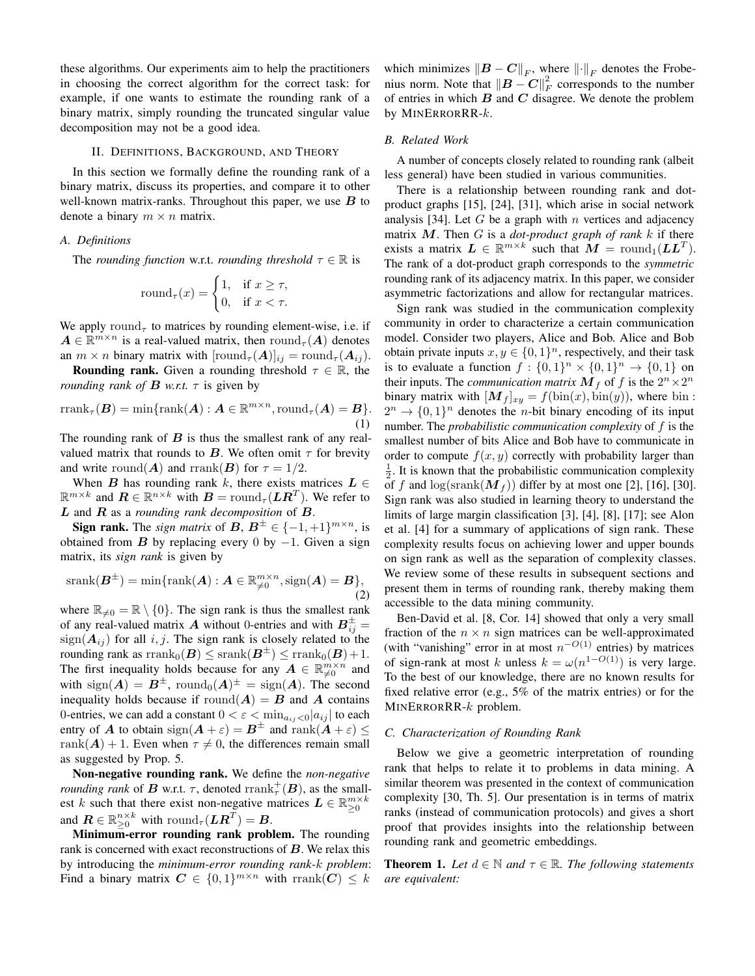these algorithms. Our experiments aim to help the practitioners in choosing the correct algorithm for the correct task: for example, if one wants to estimate the rounding rank of a binary matrix, simply rounding the truncated singular value decomposition may not be a good idea.

#### II. DEFINITIONS, BACKGROUND, AND THEORY

In this section we formally define the rounding rank of a binary matrix, discuss its properties, and compare it to other well-known matrix-ranks. Throughout this paper, we use  $B$  to denote a binary  $m \times n$  matrix.

#### *A. Definitions*

The *rounding function* w.r.t. *rounding threshold*  $\tau \in \mathbb{R}$  is

$$
round_{\tau}(x) = \begin{cases} 1, & \text{if } x \ge \tau, \\ 0, & \text{if } x < \tau. \end{cases}
$$

We apply round<sub> $\tau$ </sub> to matrices by rounding element-wise, i.e. if  $A \in \mathbb{R}^{m \times n}$  is a real-valued matrix, then round $_{\tau}(A)$  denotes an  $m \times n$  binary matrix with  $[\text{round}_{\tau}(\boldsymbol{A})]_{ij} = \text{round}_{\tau}(\boldsymbol{A}_{ij}).$ 

**Rounding rank.** Given a rounding threshold  $\tau \in \mathbb{R}$ , the *rounding rank of*  $\bf{B}$  *w.r.t.*  $\tau$  is given by

$$
rank_{\tau}(\boldsymbol{B}) = \min\{rank(\boldsymbol{A}) : \boldsymbol{A} \in \mathbb{R}^{m \times n}, \text{round}_{\tau}(\boldsymbol{A}) = \boldsymbol{B}\}.
$$
\n(1)

The rounding rank of  $\bf{B}$  is thus the smallest rank of any realvalued matrix that rounds to  $B$ . We often omit  $\tau$  for brevity and write round(A) and rrank(B) for  $\tau = 1/2$ .

When B has rounding rank k, there exists matrices  $L \in$  $\mathbb{R}^{m \times k}$  and  $\mathbf{R} \in \mathbb{R}^{n \times k}$  with  $\mathbf{B} = \text{round}_{\tau}(\mathbf{L}\mathbf{R}^T)$ . We refer to L and R as a *rounding rank decomposition* of B.

**Sign rank.** The *sign matrix* of  $B, B^{\pm} \in \{-1, +1\}^{m \times n}$ , is obtained from B by replacing every 0 by  $-1$ . Given a sign matrix, its *sign rank* is given by

$$
srank(\boldsymbol{B}^{\pm}) = \min\{\text{rank}(\boldsymbol{A}) : \boldsymbol{A} \in \mathbb{R}_{\neq 0}^{m \times n}, \text{sign}(\boldsymbol{A}) = \boldsymbol{B}\},\tag{2}
$$

where  $\mathbb{R}_{\neq 0} = \mathbb{R} \setminus \{0\}$ . The sign rank is thus the smallest rank of any real-valued matrix A without 0-entries and with  $B_{ij}^{\pm} =$  $sign(\boldsymbol{A}_{ij})$  for all i, j. The sign rank is closely related to the rounding rank as  $\mathrm{rrank}_0(\boldsymbol{B}) \leq \mathrm{srank}(\boldsymbol{B}^\pm) \leq \mathrm{rrank}_0(\boldsymbol{B}) + 1.$ The first inequality holds because for any  $A \in \mathbb{R}_{\neq 0}^{m \times n}$  and with  $\text{sign}(A) = B^{\pm}$ ,  $\text{round}_0(A)^{\pm} = \text{sign}(A)$ . The second inequality holds because if  $\text{round}(A) = B$  and A contains 0-entries, we can add a constant  $0 < \varepsilon < \min_{a_{ij} < 0} |a_{ij}|$  to each entry of A to obtain  $sign(A + \varepsilon) = B^{\pm}$  and  $rank(A + \varepsilon) \le$ rank $(A) + 1$ . Even when  $\tau \neq 0$ , the differences remain small as suggested by Prop. 5.

Non-negative rounding rank. We define the *non-negative rounding rank* of **B** w.r.t.  $\tau$ , denoted  $\text{rrank}_{\tau}^{+}(B)$ , as the smallest k such that there exist non-negative matrices  $L \in \mathbb{R}_{\geq 0}^{m \times k}$ and  $\boldsymbol{R} \in \mathbb{R}_{\geq 0}^{n \times k}$  with  $\mathrm{round}_{\tau}(\boldsymbol{L}\boldsymbol{R}^T) = \boldsymbol{B}$ .

Minimum-error rounding rank problem. The rounding rank is concerned with exact reconstructions of  $B$ . We relax this by introducing the *minimum-error rounding rank-*k *problem*: Find a binary matrix  $C \in \{0,1\}^{m \times n}$  with  $\text{rrank}(C) \leq k$ 

which minimizes  $||\boldsymbol{B} - \boldsymbol{C}||_F$ , where  $||\cdot||_F$  denotes the Frobenius norm. Note that  $||\boldsymbol{B} - \boldsymbol{C}||_F^2$  corresponds to the number of entries in which  $B$  and  $C$  disagree. We denote the problem by MINERRORRR- $k$ .

#### *B. Related Work*

A number of concepts closely related to rounding rank (albeit less general) have been studied in various communities.

There is a relationship between rounding rank and dotproduct graphs [15], [24], [31], which arise in social network analysis [34]. Let  $G$  be a graph with  $n$  vertices and adjacency matrix M. Then G is a *dot-product graph of rank* k if there exists a matrix  $L \in \mathbb{R}^{m \times k}$  such that  $M = \text{round}_1(LL^T)$ . The rank of a dot-product graph corresponds to the *symmetric* rounding rank of its adjacency matrix. In this paper, we consider asymmetric factorizations and allow for rectangular matrices.

Sign rank was studied in the communication complexity community in order to characterize a certain communication model. Consider two players, Alice and Bob. Alice and Bob obtain private inputs  $x, y \in \{0, 1\}^n$ , respectively, and their task is to evaluate a function  $f: \{0,1\}^n \times \{0,1\}^n \rightarrow \{0,1\}$  on their inputs. The *communication matrix*  $M_f$  of  $f$  is the  $2^n \times 2^n$ binary matrix with  $[M_f]_{xy} = f(\text{bin}(x), \text{bin}(y))$ , where bin :  $2^n \rightarrow \{0,1\}^n$  denotes the *n*-bit binary encoding of its input number. The *probabilistic communication complexity* of f is the smallest number of bits Alice and Bob have to communicate in order to compute  $f(x, y)$  correctly with probability larger than  $\frac{1}{2}$ . It is known that the probabilistic communication complexity of f and  $\log(\text{srank}(M_f))$  differ by at most one [2], [16], [30]. Sign rank was also studied in learning theory to understand the limits of large margin classification [3], [4], [8], [17]; see Alon et al. [4] for a summary of applications of sign rank. These complexity results focus on achieving lower and upper bounds on sign rank as well as the separation of complexity classes. We review some of these results in subsequent sections and present them in terms of rounding rank, thereby making them accessible to the data mining community.

Ben-David et al. [8, Cor. 14] showed that only a very small fraction of the  $n \times n$  sign matrices can be well-approximated (with "vanishing" error in at most  $n^{-O(1)}$  entries) by matrices of sign-rank at most k unless  $k = \omega(n^{1-O(1)})$  is very large. To the best of our knowledge, there are no known results for fixed relative error (e.g., 5% of the matrix entries) or for the MINERRORRR-k problem.

#### *C. Characterization of Rounding Rank*

Below we give a geometric interpretation of rounding rank that helps to relate it to problems in data mining. A similar theorem was presented in the context of communication complexity [30, Th. 5]. Our presentation is in terms of matrix ranks (instead of communication protocols) and gives a short proof that provides insights into the relationship between rounding rank and geometric embeddings.

**Theorem 1.** Let  $d \in \mathbb{N}$  and  $\tau \in \mathbb{R}$ . The following statements *are equivalent:*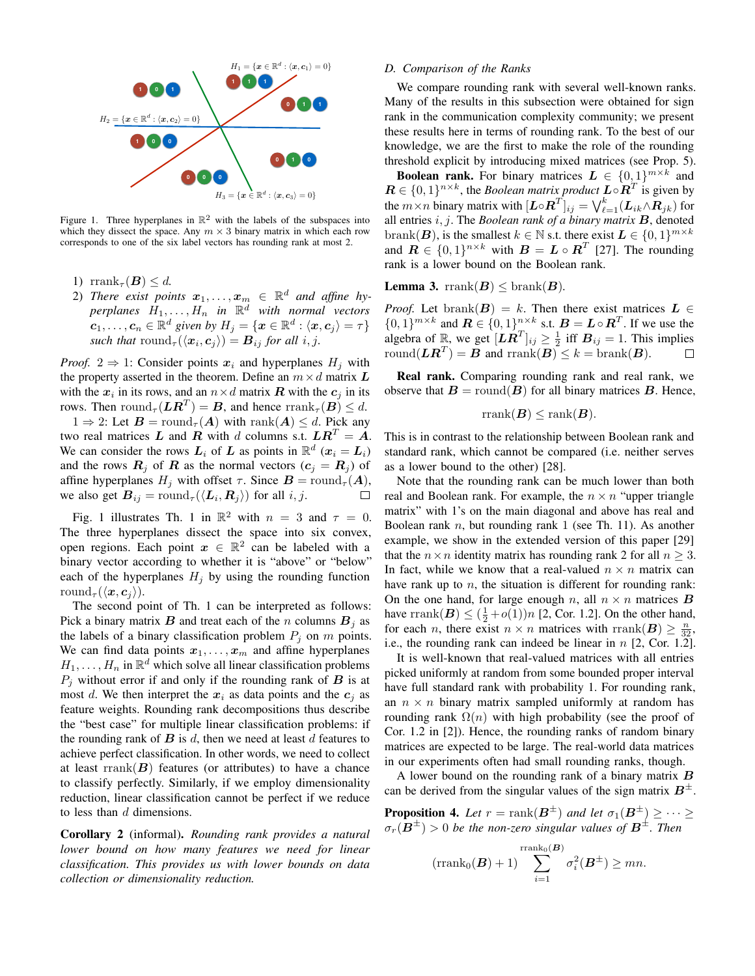

Figure 1. Three hyperplanes in  $\mathbb{R}^2$  with the labels of the subspaces into which they dissect the space. Any  $m \times 3$  binary matrix in which each row corresponds to one of the six label vectors has rounding rank at most 2.

- 1) rrank<sub> $\tau$ </sub> $(B) \leq d$ .
- 2) There exist points  $x_1, \ldots, x_m \in \mathbb{R}^d$  and affine hy $perplanes$   $H_1, \ldots, H_n$  in  $\mathbb{R}^d$  with normal vectors  $\boldsymbol{c}_1, \ldots, \boldsymbol{c}_n \in \mathbb{R}^d$  given by  $H_j = \{\boldsymbol{x} \in \mathbb{R}^d : \langle \boldsymbol{x}, \boldsymbol{c}_j \rangle = \tau\}$ *such that*  $\text{round}_{\tau}(\langle \boldsymbol{x}_i, \boldsymbol{c}_j \rangle) = \boldsymbol{B}_{ij}$  *for all i, j.*

*Proof.* 2  $\Rightarrow$  1: Consider points  $x_i$  and hyperplanes  $H_i$  with the property asserted in the theorem. Define an  $m \times d$  matrix L with the  $x_i$  in its rows, and an  $n \times d$  matrix **R** with the  $c_j$  in its rows. Then  $\mathrm{round}_{\tau}(\mathbf{LR}^T) = \mathbf{B}$ , and hence  $\mathrm{rrank}_{\tau}(\mathbf{B}) \leq d$ .

 $1 \Rightarrow 2$ : Let  $B = \text{round}_{\tau}(A)$  with  $\text{rank}(A) \leq d$ . Pick any two real matrices L and R with d columns s.t.  $LR^T = A$ . We can consider the rows  $L_i$  of L as points in  $\mathbb{R}^d$   $(x_i = L_i)$ and the rows  $\mathbf{R}_j$  of  $\mathbf{R}$  as the normal vectors  $(c_j = \mathbf{R}_j)$  of affine hyperplanes  $H_j$  with offset  $\tau$ . Since  $\mathbf{B} = \text{round}_{\tau}(\mathbf{A}),$ we also get  $B_{ij} = \text{round}_{\tau}(\langle \boldsymbol{L}_i, \boldsymbol{R}_j \rangle)$  for all  $i, j$ .  $\Box$ 

Fig. 1 illustrates Th. 1 in  $\mathbb{R}^2$  with  $n = 3$  and  $\tau = 0$ . The three hyperplanes dissect the space into six convex, open regions. Each point  $x \in \mathbb{R}^2$  can be labeled with a binary vector according to whether it is "above" or "below" each of the hyperplanes  $H_i$  by using the rounding function round<sub> $\tau$ </sub> $(\langle x, c_i \rangle)$ .

The second point of Th. 1 can be interpreted as follows: Pick a binary matrix  $\bf{B}$  and treat each of the n columns  $\bf{B}_i$  as the labels of a binary classification problem  $P_j$  on m points. We can find data points  $x_1, \ldots, x_m$  and affine hyperplanes  $H_1, \ldots, H_n$  in  $\mathbb{R}^d$  which solve all linear classification problems  $P_i$  without error if and only if the rounding rank of  $\bf{B}$  is at most d. We then interpret the  $x_i$  as data points and the  $c_i$  as feature weights. Rounding rank decompositions thus describe the "best case" for multiple linear classification problems: if the rounding rank of  $B$  is  $d$ , then we need at least  $d$  features to achieve perfect classification. In other words, we need to collect at least  $\text{rank}(B)$  features (or attributes) to have a chance to classify perfectly. Similarly, if we employ dimensionality reduction, linear classification cannot be perfect if we reduce to less than  $d$  dimensions.

Corollary 2 (informal). *Rounding rank provides a natural lower bound on how many features we need for linear classification. This provides us with lower bounds on data collection or dimensionality reduction.*

#### *D. Comparison of the Ranks*

We compare rounding rank with several well-known ranks. Many of the results in this subsection were obtained for sign rank in the communication complexity community; we present these results here in terms of rounding rank. To the best of our knowledge, we are the first to make the role of the rounding threshold explicit by introducing mixed matrices (see Prop. 5).

**Boolean rank.** For binary matrices  $L \in \{0,1\}^{m \times k}$  and  $\mathbf{R} \in \{0,1\}^{n \times k}$ , the *Boolean matrix product*  $\mathbf{L} \circ \mathbf{R}^T$  is given by the  $m \times n$  binary matrix with  $[\boldsymbol{L} \circ \boldsymbol{R}^T]_{ij} = \bigvee_{\ell=1}^k (\boldsymbol{L}_{ik} \wedge \boldsymbol{R}_{jk})$  for all entries i, j. The *Boolean rank of a binary matrix* B, denoted brank(**B**), is the smallest  $k \in \mathbb{N}$  s.t. there exist  $L \in \{0, 1\}^{m \times k}$ and  $\mathbf{R} \in \{0,1\}^{n \times k}$  with  $\mathbf{B} = \mathbf{L} \circ \mathbf{R}^{T}$  [27]. The rounding rank is a lower bound on the Boolean rank.

**Lemma 3.** rrank $(B) \leq \text{branch}(B)$ .

*Proof.* Let brank $(B) = k$ . Then there exist matrices  $L \in$  $\{0,1\}^{m \times k}$  and  $\mathbf{R} \in \{0,1\}^{n \times k}$  s.t.  $\mathbf{B} = \mathbf{L} \circ \mathbf{R}^{T}$ . If we use the algebra of R<sub>n</sub>, we get  $[\mathbf{LR}^T]_{ij} \geq \frac{1}{2}$  iff  $\mathbf{B}_{ij} = 1$ . This implies round $(\boldsymbol{L}\boldsymbol{R}^T) = \boldsymbol{B}$  and  $\text{rrank}(\boldsymbol{B}) \leq k = \text{branch}(\boldsymbol{B})$ .

Real rank. Comparing rounding rank and real rank, we observe that  $B = \text{round}(B)$  for all binary matrices B. Hence,

$$
rank(\boldsymbol{B}) \le rank(\boldsymbol{B}).
$$

This is in contrast to the relationship between Boolean rank and standard rank, which cannot be compared (i.e. neither serves as a lower bound to the other) [28].

Note that the rounding rank can be much lower than both real and Boolean rank. For example, the  $n \times n$  "upper triangle matrix" with 1's on the main diagonal and above has real and Boolean rank  $n$ , but rounding rank 1 (see Th. 11). As another example, we show in the extended version of this paper [29] that the  $n \times n$  identity matrix has rounding rank 2 for all  $n \geq 3$ . In fact, while we know that a real-valued  $n \times n$  matrix can have rank up to  $n$ , the situation is different for rounding rank: On the one hand, for large enough n, all  $n \times n$  matrices **B** have rrank $(B) \leq (\frac{1}{2} + o(1))n$  [2, Cor. 1.2]. On the other hand, for each *n*, there exist  $n \times n$  matrices with rrank $(B) \geq \frac{n}{32}$ , i.e., the rounding rank can indeed be linear in  $n$  [2, Cor. 1.2].

It is well-known that real-valued matrices with all entries picked uniformly at random from some bounded proper interval have full standard rank with probability 1. For rounding rank, an  $n \times n$  binary matrix sampled uniformly at random has rounding rank  $\Omega(n)$  with high probability (see the proof of Cor. 1.2 in [2]). Hence, the rounding ranks of random binary matrices are expected to be large. The real-world data matrices in our experiments often had small rounding ranks, though.

A lower bound on the rounding rank of a binary matrix  $\bm{B}$ can be derived from the singular values of the sign matrix  $B^{\pm}$ .

**Proposition 4.** Let  $r = \text{rank}(\boldsymbol{B}^{\pm})$  and let  $\sigma_1(\boldsymbol{B}^{\pm}) \geq \cdots \geq$  $\sigma_r(\boldsymbol{B}^\pm) > 0$  be the non-zero singular values of  $\boldsymbol{B}^\pm$ . Then

$$
(\operatorname{rrank}_{0}(\boldsymbol{B})+1)\sum_{i=1}^{\operatorname{rrank}_{0}(\boldsymbol{B})}\sigma_{i}^{2}(\boldsymbol{B}^{\pm})\geq mn.
$$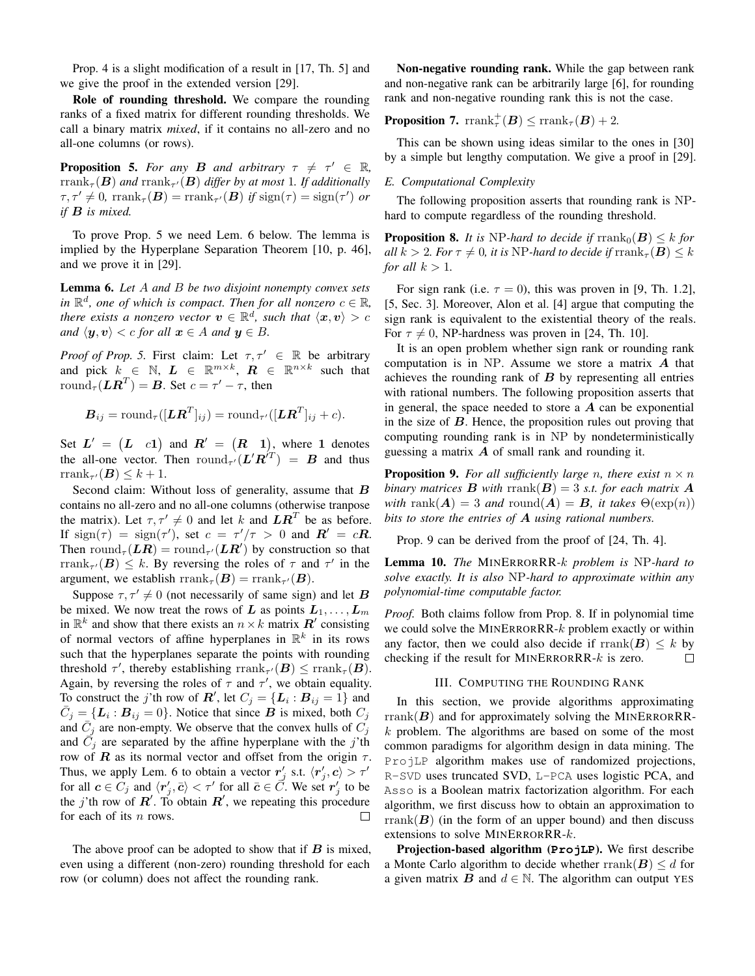Prop. 4 is a slight modification of a result in [17, Th. 5] and we give the proof in the extended version [29].

Role of rounding threshold. We compare the rounding ranks of a fixed matrix for different rounding thresholds. We call a binary matrix *mixed*, if it contains no all-zero and no all-one columns (or rows).

**Proposition 5.** *For any B and arbitrary*  $\tau \neq \tau' \in \mathbb{R}$ ,  $\mathrm{rrank}_\tau(\boldsymbol{B})$  and  $\mathrm{rrank}_{\tau'}(\boldsymbol{B})$  differ by at most  $1$ . If additionally  $\tau, \tau' \neq 0$ , rrank<sub> $\tau$ </sub>(**B**) = rrank<sub> $\tau'$ </sub>(**B**) *if* sign( $\tau$ ) = sign( $\tau'$ ) or *if* B *is mixed.*

To prove Prop. 5 we need Lem. 6 below. The lemma is implied by the Hyperplane Separation Theorem [10, p. 46], and we prove it in [29].

Lemma 6. *Let* A *and* B *be two disjoint nonempty convex sets in*  $\mathbb{R}^d$ , one of which is compact. Then for all nonzero  $c \in \mathbb{R}$ , *there exists a nonzero vector*  $\boldsymbol{v} \in \mathbb{R}^d$ , such that  $\langle \boldsymbol{x}, \boldsymbol{v} \rangle > c$ *and*  $\langle y, v \rangle < c$  *for all*  $x \in A$  *and*  $y \in B$ *.* 

*Proof of Prop.* 5. First claim: Let  $\tau, \tau' \in \mathbb{R}$  be arbitrary and pick  $k \in \mathbb{N}$ ,  $L \in \mathbb{R}^{m \times k}$ ,  $R \in \mathbb{R}^{n \times k}$  such that round $\tau(\mathbf{L}\mathbf{R}^T) = \mathbf{B}$ . Set  $c = \tau' - \tau$ , then

$$
\boldsymbol{B}_{ij} = \text{round}_{\tau}([\boldsymbol{L}\boldsymbol{R}^T]_{ij}) = \text{round}_{\tau'}([\boldsymbol{L}\boldsymbol{R}^T]_{ij} + c).
$$

Set  $L' = (L \nc1)$  and  $R' = (R \nc1)$ , where 1 denotes the all-one vector. Then  $\mathrm{round}_{\tau'}(\mathbf{L}'\mathbf{R}^{T}) = \mathbf{B}$  and thus rrank<sub> $\tau'(\boldsymbol{B}) \leq k+1$ .</sub>

Second claim: Without loss of generality, assume that  $\bm{B}$ contains no all-zero and no all-one columns (otherwise tranpose the matrix). Let  $\tau, \tau' \neq 0$  and let k and  $LR^T$  be as before. If  $sign(\tau) = sign(\tau')$ , set  $c = \tau'/\tau > 0$  and  $\mathbb{R}' = c\mathbb{R}$ . Then round<sub> $\tau$ </sub> $(LR)$  = round<sub> $\tau'$ </sub> $(LR')$  by construction so that rrank<sub> $\tau'(\mathbf{B}) \leq k$ . By reversing the roles of  $\tau$  and  $\tau'$  in the</sub> argument, we establish  $\text{rrank}_{\tau}(\boldsymbol{B}) = \text{rrank}_{\tau'}(\boldsymbol{B}).$ 

Suppose  $\tau, \tau' \neq 0$  (not necessarily of same sign) and let B be mixed. We now treat the rows of L as points  $L_1, \ldots, L_m$ in  $\mathbb{R}^k$  and show that there exists an  $n \times k$  matrix  $\mathbb{R}^l$  consisting of normal vectors of affine hyperplanes in  $\mathbb{R}^k$  in its rows such that the hyperplanes separate the points with rounding threshold  $\tau'$ , thereby establishing  $\text{rank}_{\tau'}(\mathbf{B}) \leq \text{rank}_{\tau}(\mathbf{B})$ . Again, by reversing the roles of  $\tau$  and  $\tau'$ , we obtain equality. To construct the *j*'th row of  $\mathbf{R}'$ , let  $C_j = \{L_i : B_{ij} = 1\}$  and  $\overline{C}_j = \{L_i : B_{ij} = 0\}$ . Notice that since  $\overline{B}$  is mixed, both  $C_j$ and  $\overline{C}_j$  are non-empty. We observe that the convex hulls of  $\overline{C}_j$ and  $\vec{C}_j$  are separated by the affine hyperplane with the j'th row of R as its normal vector and offset from the origin  $\tau$ . Thus, we apply Lem. 6 to obtain a vector  $r'_j$  s.t.  $\langle r'_j, c \rangle > \tau'$ for all  $c \in C_j$  and  $\langle r'_j, \bar{c} \rangle < \tau'$  for all  $\bar{c} \in \bar{C}$ . We set  $r'_j$  to be the j'th row of  $\mathbf{R}'$ . To obtain  $\mathbf{R}'$ , we repeating this procedure for each of its  $n$  rows.  $\Box$ 

The above proof can be adopted to show that if  $\boldsymbol{B}$  is mixed, even using a different (non-zero) rounding threshold for each row (or column) does not affect the rounding rank.

Non-negative rounding rank. While the gap between rank and non-negative rank can be arbitrarily large [6], for rounding rank and non-negative rounding rank this is not the case.

# **Proposition 7.**  $\text{rrank}_{\tau}^{+}(B) \leq \text{rrank}_{\tau}(B) + 2$ .

This can be shown using ideas similar to the ones in [30] by a simple but lengthy computation. We give a proof in [29].

#### *E. Computational Complexity*

The following proposition asserts that rounding rank is NPhard to compute regardless of the rounding threshold.

**Proposition 8.** *It is* NP-hard to decide if  $\text{rrank}_0(B) \leq k$  for *all*  $k > 2$ *. For*  $\tau \neq 0$ *, it is* NP-hard to decide if  $\text{rrank}_{\tau}(\mathbf{B}) \leq k$ *for all*  $k > 1$ *.* 

For sign rank (i.e.  $\tau = 0$ ), this was proven in [9, Th. 1.2], [5, Sec. 3]. Moreover, Alon et al. [4] argue that computing the sign rank is equivalent to the existential theory of the reals. For  $\tau \neq 0$ , NP-hardness was proven in [24, Th. 10].

It is an open problem whether sign rank or rounding rank computation is in NP. Assume we store a matrix  $\boldsymbol{A}$  that achieves the rounding rank of  $B$  by representing all entries with rational numbers. The following proposition asserts that in general, the space needed to store a  $A$  can be exponential in the size of  $B$ . Hence, the proposition rules out proving that computing rounding rank is in NP by nondeterministically guessing a matrix  $\boldsymbol{A}$  of small rank and rounding it.

**Proposition 9.** For all sufficiently large n, there exist  $n \times n$ *binary matrices* **B** with rrank( $B$ ) = 3 *s.t. for each matrix* **A** *with* rank $(A) = 3$  *and* round $(A) = B$ *, it takes*  $\Theta(\exp(n))$ *bits to store the entries of* A *using rational numbers.*

Prop. 9 can be derived from the proof of [24, Th. 4].

Lemma 10. *The* MINERRORRR*-*k *problem is* NP*-hard to solve exactly. It is also* NP*-hard to approximate within any polynomial-time computable factor.*

*Proof.* Both claims follow from Prop. 8. If in polynomial time we could solve the MINERRORRR- $k$  problem exactly or within any factor, then we could also decide if rrank $(B) \leq k$  by checking if the result for MINERRORRR- $k$  is zero. checking if the result for MINERRORRR- $k$  is zero.

#### III. COMPUTING THE ROUNDING RANK

In this section, we provide algorithms approximating  $rrank(B)$  and for approximately solving the MINERRORRRk problem. The algorithms are based on some of the most common paradigms for algorithm design in data mining. The ProjLP algorithm makes use of randomized projections, R-SVD uses truncated SVD, L-PCA uses logistic PCA, and Asso is a Boolean matrix factorization algorithm. For each algorithm, we first discuss how to obtain an approximation to rrank( $\bf{B}$ ) (in the form of an upper bound) and then discuss extensions to solve MINERRORRR-k.

Projection-based algorithm (**ProjLP**). We first describe a Monte Carlo algorithm to decide whether  $\text{rank}(\mathbf{B}) \leq d$  for a given matrix B and  $d \in \mathbb{N}$ . The algorithm can output YES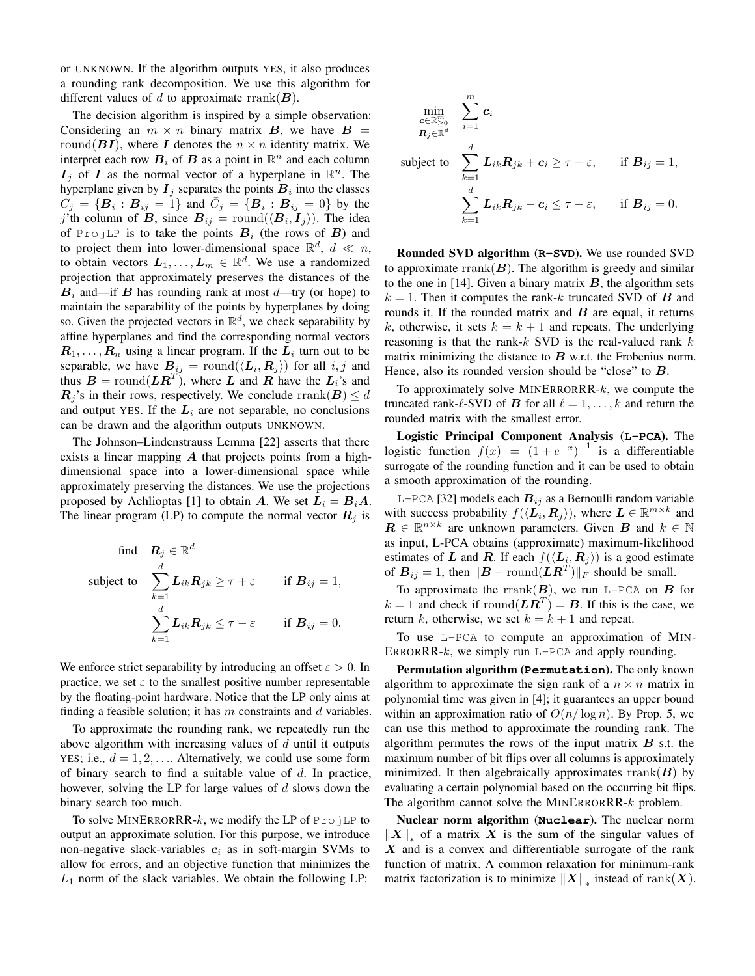or UNKNOWN. If the algorithm outputs YES, it also produces a rounding rank decomposition. We use this algorithm for different values of d to approximate rrank $(B)$ .

The decision algorithm is inspired by a simple observation: Considering an  $m \times n$  binary matrix B, we have  $B =$ round( $BI$ ), where I denotes the  $n \times n$  identity matrix. We interpret each row  $B_i$  of  $B$  as a point in  $\mathbb{R}^n$  and each column  $I_j$  of I as the normal vector of a hyperplane in  $\mathbb{R}^n$ . The hyperplane given by  $I_j$  separates the points  $B_i$  into the classes  $C_j = \{B_i : B_{ij} = 1\}$  and  $\bar{C}_j = \{B_i : B_{ij} = 0\}$  by the j'th column of B, since  $B_{ij} = \text{round}(\langle B_i, I_j \rangle)$ . The idea of ProjLP is to take the points  $B_i$  (the rows of B) and to project them into lower-dimensional space  $\mathbb{R}^d$ ,  $d \ll n$ , to obtain vectors  $L_1, \ldots, L_m \in \mathbb{R}^d$ . We use a randomized projection that approximately preserves the distances of the  $B_i$  and—if B has rounding rank at most d—try (or hope) to maintain the separability of the points by hyperplanes by doing so. Given the projected vectors in  $\mathbb{R}^d$ , we check separability by affine hyperplanes and find the corresponding normal vectors  $\mathbf{R}_1, \ldots, \mathbf{R}_n$  using a linear program. If the  $\mathbf{L}_i$  turn out to be separable, we have  $B_{ij} = \text{round}(\langle \mathbf{L}_i, \mathbf{R}_j \rangle)$  for all  $i, j$  and thus  $B = \text{round}(LR^T)$ , where L and R have the  $L_i$ 's and  $\mathbf{R}_i$ 's in their rows, respectively. We conclude rrank $(\mathbf{B}) \leq d$ and output YES. If the  $L_i$  are not separable, no conclusions can be drawn and the algorithm outputs UNKNOWN.

The Johnson–Lindenstrauss Lemma [22] asserts that there exists a linear mapping  $\boldsymbol{A}$  that projects points from a highdimensional space into a lower-dimensional space while approximately preserving the distances. We use the projections proposed by Achlioptas [1] to obtain A. We set  $L_i = B_i A$ . The linear program (LP) to compute the normal vector  $\mathbf{R}_i$  is

find 
$$
\mathbf{R}_j \in \mathbb{R}^d
$$
  
\nsubject to 
$$
\sum_{k=1}^d \mathbf{L}_{ik} \mathbf{R}_{jk} \ge \tau + \varepsilon \quad \text{if } \mathbf{B}_{ij} = 1,
$$
\n
$$
\sum_{k=1}^d \mathbf{L}_{ik} \mathbf{R}_{jk} \le \tau - \varepsilon \quad \text{if } \mathbf{B}_{ij} = 0.
$$

We enforce strict separability by introducing an offset  $\varepsilon > 0$ . In practice, we set  $\varepsilon$  to the smallest positive number representable by the floating-point hardware. Notice that the LP only aims at finding a feasible solution; it has  $m$  constraints and  $d$  variables.

To approximate the rounding rank, we repeatedly run the above algorithm with increasing values of  $d$  until it outputs YES; i.e.,  $d = 1, 2, \ldots$  Alternatively, we could use some form of binary search to find a suitable value of  $d$ . In practice, however, solving the LP for large values of  $d$  slows down the binary search too much.

To solve MINERRORRR- $k$ , we modify the LP of ProjLP to output an approximate solution. For this purpose, we introduce non-negative slack-variables  $c_i$  as in soft-margin SVMs to allow for errors, and an objective function that minimizes the  $L_1$  norm of the slack variables. We obtain the following LP:

$$
\min_{\substack{\mathbf{c} \in \mathbb{R}_{\geq 0}^m \\ \mathbf{R}_j \in \mathbb{R}^d}} \sum_{i=1}^m \mathbf{c}_i
$$
\nsubject to 
$$
\sum_{k=1}^d \mathbf{L}_{ik} \mathbf{R}_{jk} + \mathbf{c}_i \geq \tau + \varepsilon, \quad \text{if } \mathbf{B}_{ij} = 1,
$$
\n
$$
\sum_{k=1}^d \mathbf{L}_{ik} \mathbf{R}_{jk} - \mathbf{c}_i \leq \tau - \varepsilon, \quad \text{if } \mathbf{B}_{ij} = 0.
$$

Rounded SVD algorithm (**R-SVD**). We use rounded SVD to approximate  $\text{rrank}(\mathbf{B})$ . The algorithm is greedy and similar to the one in [14]. Given a binary matrix  $B$ , the algorithm sets  $k = 1$ . Then it computes the rank-k truncated SVD of B and rounds it. If the rounded matrix and  $B$  are equal, it returns k, otherwise, it sets  $k = k + 1$  and repeats. The underlying reasoning is that the rank- $k$  SVD is the real-valued rank  $k$ matrix minimizing the distance to  $B$  w.r.t. the Frobenius norm. Hence, also its rounded version should be "close" to  $B$ .

To approximately solve MINERRORRR- $k$ , we compute the truncated rank- $\ell$ -SVD of B for all  $\ell = 1, \ldots, k$  and return the rounded matrix with the smallest error.

Logistic Principal Component Analysis (**L-PCA**). The logistic function  $f(x) = (1 + e^{-x})^{-1}$  is a differentiable surrogate of the rounding function and it can be used to obtain a smooth approximation of the rounding.

L-PCA [32] models each  $B_{ij}$  as a Bernoulli random variable with success probability  $f(\langle \overline{L_i}, \overline{R_j} \rangle)$ , where  $\overline{L} \in \mathbb{R}^{m \times k}$  and  $\mathbf{R} \in \mathbb{R}^{n \times k}$  are unknown parameters. Given  $\mathbf{B}$  and  $k \in \mathbb{N}$ as input, L-PCA obtains (approximate) maximum-likelihood estimates of L and R. If each  $f(\langle L_i, R_j \rangle)$  is a good estimate of  $B_{ij} = 1$ , then  $||B - \text{round}(LR^T)||_F$  should be small.

To approximate the rrank $(B)$ , we run L-PCA on  $B$  for  $k = 1$  and check if round $(\mathbf{LR}^T) = \mathbf{B}$ . If this is the case, we return k, otherwise, we set  $k = k + 1$  and repeat.

To use L-PCA to compute an approximation of MIN-ERRORRR- $k$ , we simply run L-PCA and apply rounding.

Permutation algorithm (**Permutation**). The only known algorithm to approximate the sign rank of a  $n \times n$  matrix in polynomial time was given in [4]; it guarantees an upper bound within an approximation ratio of  $O(n/\log n)$ . By Prop. 5, we can use this method to approximate the rounding rank. The algorithm permutes the rows of the input matrix  $\boldsymbol{B}$  s.t. the maximum number of bit flips over all columns is approximately minimized. It then algebraically approximates rrank( $\bf{B}$ ) by evaluating a certain polynomial based on the occurring bit flips. The algorithm cannot solve the MINERRORRR-k problem.

Nuclear norm algorithm (**Nuclear**). The nuclear norm  $||X||_*$  of a matrix X is the sum of the singular values of  $X$  and is a convex and differentiable surrogate of the rank function of matrix. A common relaxation for minimum-rank matrix factorization is to minimize  $\|\boldsymbol{X}\|_*$  instead of rank $(\boldsymbol{X})$ .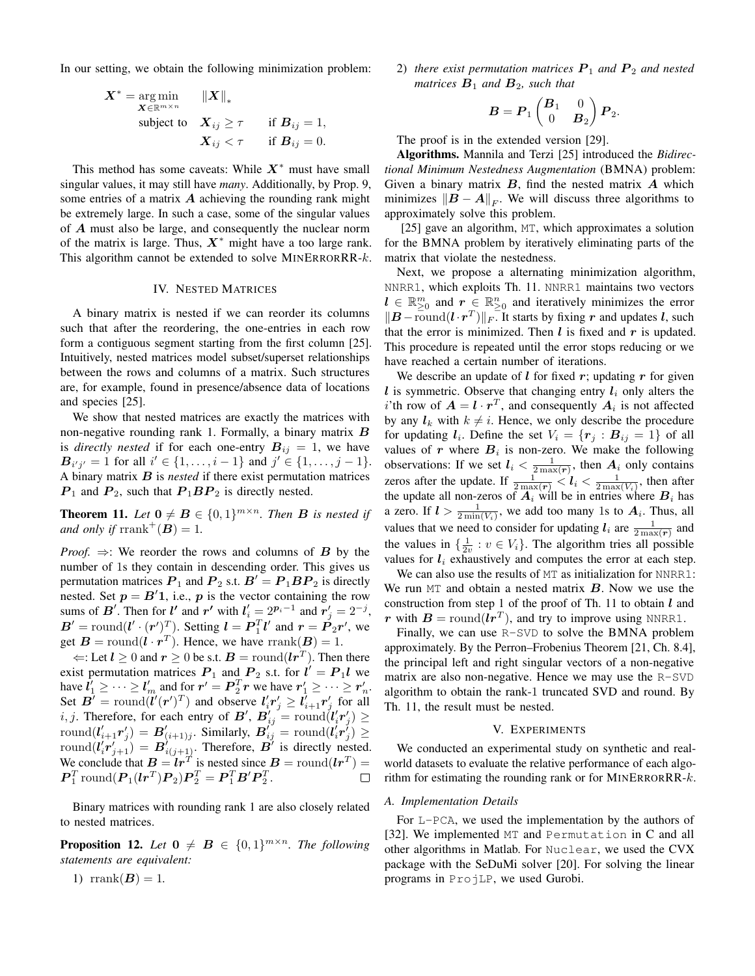In our setting, we obtain the following minimization problem:

$$
\begin{aligned}\n\boldsymbol{X}^* &= \operatorname*{arg\,min}_{\boldsymbol{X} \in \mathbb{R}^{m \times n}} & \|\boldsymbol{X}\|_* \\
& \text{subject to} & \boldsymbol{X}_{ij} \geq \tau \quad \text{if } \boldsymbol{B}_{ij} = 1, \\
& \boldsymbol{X}_{ij} < \tau \quad \text{if } \boldsymbol{B}_{ij} = 0.\n\end{aligned}
$$

This method has some caveats: While  $X^*$  must have small singular values, it may still have *many*. Additionally, by Prop. 9, some entries of a matrix  $\vec{A}$  achieving the rounding rank might be extremely large. In such a case, some of the singular values of A must also be large, and consequently the nuclear norm of the matrix is large. Thus,  $X^*$  might have a too large rank. This algorithm cannot be extended to solve  $MINERRORR-k$ .

#### IV. NESTED MATRICES

A binary matrix is nested if we can reorder its columns such that after the reordering, the one-entries in each row form a contiguous segment starting from the first column [25]. Intuitively, nested matrices model subset/superset relationships between the rows and columns of a matrix. Such structures are, for example, found in presence/absence data of locations and species [25].

We show that nested matrices are exactly the matrices with non-negative rounding rank 1. Formally, a binary matrix B is *directly nested* if for each one-entry  $B_{ij} = 1$ , we have  $B_{i'j'} = 1$  for all  $i' \in \{1, ..., i-1\}$  and  $j' \in \{1, ..., j-1\}$ . A binary matrix B is *nested* if there exist permutation matrices  $P_1$  and  $P_2$ , such that  $P_1BP_2$  is directly nested.

**Theorem 11.** Let  $\mathbf{0} \neq \mathbf{B} \in \{0,1\}^{m \times n}$ . Then **B** is nested if *and only if*  $\text{rrank}^+(B) = 1$ .

*Proof.*  $\Rightarrow$ : We reorder the rows and columns of **B** by the number of 1s they contain in descending order. This gives us permutation matrices  $P_1$  and  $P_2$  s.t.  $B' = P_1 B P_2$  is directly nested. Set  $p = B'1$ , i.e., p is the vector containing the row sums of B'. Then for  $l'$  and  $r'$  with  $l'_i = 2^{p_i-1}$  and  $r'_j = 2^{-j}$ ,  $\mathbf{B}' = \text{round}(l' \cdot (\mathbf{r}')^T)$ . Setting  $\mathbf{l} = \mathbf{P}_1^T \mathbf{l}'$  and  $\mathbf{r} = \mathbf{P}_2 \mathbf{r}'$ , we get  $\mathbf{B} = \text{round}(\mathbf{l} \cdot \mathbf{r}^T)$ . Hence, we have  $\text{rank}(\mathbf{B}) = 1$ .

 $\Leftarrow$ : Let  $l \ge 0$  and  $r \ge 0$  be s.t.  $B = \text{round}(lr^T)$ . Then there exist permutation matrices  $P_1$  and  $P_2$  s.t. for  $l' = P_1 l$  we have  $l'_1 \geq \cdots \geq l'_m$  and for  $r' = P_2^T r$  we have  $r'_1 \geq \cdots \geq r'_n$ . Here  $\mathbf{r}_1 \geq \cdots \geq \mathbf{r}_m$  and for  $\mathbf{r}_1 = \mathbf{r}_2 \mathbf{r}$  we have  $\mathbf{r}_1 \geq \cdots \geq \mathbf{r}_n$ <br>Set  $\mathbf{B}' = \text{round}(\mathbf{l}'(\mathbf{r}')^T)$  and observe  $\mathbf{l}'_i \mathbf{r}'_j \geq \mathbf{l}'_{i+1} \mathbf{r}'_j$  for all i, j. Therefore, for each entry of B',  $B'_{ij} = \text{round}(l'_i r'_j) \geq$ round $(l'_{i+1}r'_j) = B'_{(i+1)j}$ . Similarly,  $B'_{ij}$  = round $(l'_ir'_j) \ge$ round $(l'_i r'_{j+1}) = B'_{i(j+1)}$ . Therefore,  $B'$  is directly nested. We conclude that  $B = Ir^T$  is nested since  $B = \text{round}(Ir^T) =$  $\boldsymbol{P}_1^T \text{round}(\boldsymbol{P}_1(\boldsymbol{lr}^T)\boldsymbol{P}_2)\boldsymbol{P}_2^T = \boldsymbol{P}_1^T \boldsymbol{B}' \boldsymbol{P}_2^T.$ 

Binary matrices with rounding rank 1 are also closely related to nested matrices.

**Proposition 12.** Let  $\mathbf{0} \neq \mathbf{B} \in \{0,1\}^{m \times n}$ . The following *statements are equivalent:*

1) rrank $(B) = 1$ .

2) *there exist permutation matrices*  $P_1$  *and*  $P_2$  *and nested matrices*  $B_1$  *and*  $B_2$ *, such that* 

$$
\boldsymbol{B} = \boldsymbol{P}_1 \begin{pmatrix} \boldsymbol{B}_1 & 0 \\ 0 & \boldsymbol{B}_2 \end{pmatrix} \boldsymbol{P}_2.
$$

The proof is in the extended version [29].

Algorithms. Mannila and Terzi [25] introduced the *Bidirectional Minimum Nestedness Augmentation* (BMNA) problem: Given a binary matrix  $B$ , find the nested matrix  $A$  which minimizes  $||\boldsymbol{B} - \boldsymbol{A}||_F$ . We will discuss three algorithms to approximately solve this problem.

[25] gave an algorithm, MT, which approximates a solution for the BMNA problem by iteratively eliminating parts of the matrix that violate the nestedness.

Next, we propose a alternating minimization algorithm, NNRR1, which exploits Th. 11. NNRR1 maintains two vectors  $l \in \mathbb{R}^m_{\geq 0}$  and  $r \in \mathbb{R}^n_{\geq 0}$  and iteratively minimizes the error  $||\mathbf{B} - \overline{\text{round}}(\mathbf{l} \cdot \mathbf{r}^T)||_F$ . It starts by fixing r and updates l, such that the error is minimized. Then  $l$  is fixed and  $r$  is updated. This procedure is repeated until the error stops reducing or we have reached a certain number of iterations.

We describe an update of  $l$  for fixed  $r$ ; updating  $r$  for given  $l$  is symmetric. Observe that changing entry  $l_i$  only alters the i'th row of  $A = l \cdot r^T$ , and consequently  $A_i$  is not affected by any  $l_k$  with  $k \neq i$ . Hence, we only describe the procedure for updating  $l_i$ . Define the set  $V_i = \{r_j : B_{ij} = 1\}$  of all values of r where  $B_i$  is non-zero. We make the following observations: If we set  $l_i < \frac{1}{2 \max(r)}$ , then  $A_i$  only contains zeros after the update. If  $\frac{1}{2 \max(r)} < l_i < \frac{1}{2 \max(V_i)}$ , then after the update all non-zeros of  $A_i$  will be in entries where  $B_i$  has a zero. If  $l > \frac{1}{2\min(V_i)}$ , we add too many 1s to  $A_i$ . Thus, all values that we need to consider for updating  $l_i$  are  $\frac{1}{2 \max(r)}$  and the values in  $\{\frac{1}{2v} : v \in V_i\}$ . The algorithm tries all possible values for  $l_i$  exhaustively and computes the error at each step.

We can also use the results of MT as initialization for NNRR1: We run  $MT$  and obtain a nested matrix  $B$ . Now we use the construction from step 1 of the proof of Th. 11 to obtain  $l$  and r with  $B = \text{round}(lr^T)$ , and try to improve using NNRR1.

Finally, we can use R-SVD to solve the BMNA problem approximately. By the Perron–Frobenius Theorem [21, Ch. 8.4], the principal left and right singular vectors of a non-negative matrix are also non-negative. Hence we may use the R-SVD algorithm to obtain the rank-1 truncated SVD and round. By Th. 11, the result must be nested.

#### V. EXPERIMENTS

We conducted an experimental study on synthetic and realworld datasets to evaluate the relative performance of each algorithm for estimating the rounding rank or for MINERRORRR- $k$ .

### *A. Implementation Details*

For L-PCA, we used the implementation by the authors of [32]. We implemented MT and Permutation in C and all other algorithms in Matlab. For Nuclear, we used the CVX package with the SeDuMi solver [20]. For solving the linear programs in ProjLP, we used Gurobi.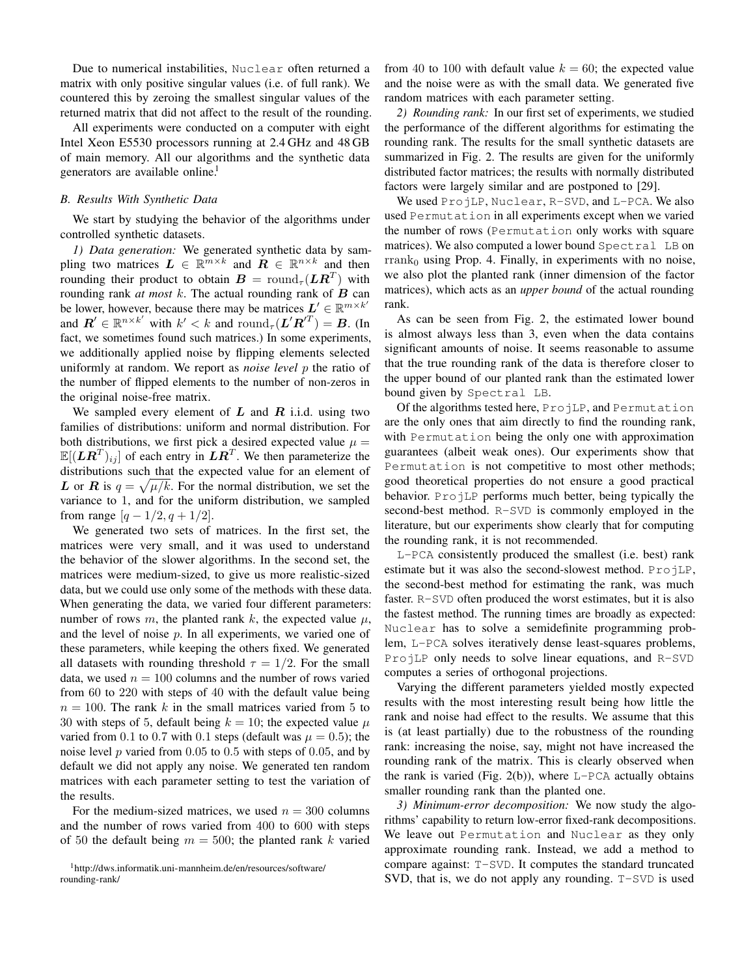Due to numerical instabilities, Nuclear often returned a matrix with only positive singular values (i.e. of full rank). We countered this by zeroing the smallest singular values of the returned matrix that did not affect to the result of the rounding.

All experiments were conducted on a computer with eight Intel Xeon E5530 processors running at 2.4 GHz and 48 GB of main memory. All our algorithms and the synthetic data generators are available online.<sup>1</sup>

## *B. Results With Synthetic Data*

We start by studying the behavior of the algorithms under controlled synthetic datasets.

*1) Data generation:* We generated synthetic data by sampling two matrices  $L \in \mathbb{R}^{m \times k}$  and  $R \in \mathbb{R}^{n \times k}$  and then rounding their product to obtain  $\boldsymbol{B} = \mathrm{round}_{\tau}(\boldsymbol{L}\boldsymbol{R}^T)$  with rounding rank  $at$  most  $k$ . The actual rounding rank of  $B$  can be lower, however, because there may be matrices  $L' \in \mathbb{R}^{m \times k'}$ and  $\mathbf{R}' \in \mathbb{R}^{n \times k'}$  with  $k' < k$  and  $\text{round}_{\tau}(\mathbf{L}'\mathbf{R}'^T) = \mathbf{B}$ . (In fact, we sometimes found such matrices.) In some experiments, we additionally applied noise by flipping elements selected uniformly at random. We report as *noise level* p the ratio of the number of flipped elements to the number of non-zeros in the original noise-free matrix.

We sampled every element of  $L$  and  $R$  i.i.d. using two families of distributions: uniform and normal distribution. For both distributions, we first pick a desired expected value  $\mu =$  $\mathbb{E}[(LR^T)_{ij}]$  of each entry in  $LR^T$ . We then parameterize the distributions such that the expected value for an element of L or R is  $q = \sqrt{\mu/k}$ . For the normal distribution, we set the variance to 1, and for the uniform distribution, we sampled from range  $[q - 1/2, q + 1/2]$ .

We generated two sets of matrices. In the first set, the matrices were very small, and it was used to understand the behavior of the slower algorithms. In the second set, the matrices were medium-sized, to give us more realistic-sized data, but we could use only some of the methods with these data. When generating the data, we varied four different parameters: number of rows m, the planted rank k, the expected value  $\mu$ , and the level of noise p. In all experiments, we varied one of these parameters, while keeping the others fixed. We generated all datasets with rounding threshold  $\tau = 1/2$ . For the small data, we used  $n = 100$  columns and the number of rows varied from 60 to 220 with steps of 40 with the default value being  $n = 100$ . The rank k in the small matrices varied from 5 to 30 with steps of 5, default being  $k = 10$ ; the expected value  $\mu$ varied from 0.1 to 0.7 with 0.1 steps (default was  $\mu = 0.5$ ); the noise level  $p$  varied from 0.05 to 0.5 with steps of 0.05, and by default we did not apply any noise. We generated ten random matrices with each parameter setting to test the variation of the results.

For the medium-sized matrices, we used  $n = 300$  columns and the number of rows varied from 400 to 600 with steps of 50 the default being  $m = 500$ ; the planted rank k varied

<sup>1</sup>http://dws.informatik.uni-mannheim.de/en/resources/software/ rounding-rank/

from 40 to 100 with default value  $k = 60$ ; the expected value and the noise were as with the small data. We generated five random matrices with each parameter setting.

*2) Rounding rank:* In our first set of experiments, we studied the performance of the different algorithms for estimating the rounding rank. The results for the small synthetic datasets are summarized in Fig. 2. The results are given for the uniformly distributed factor matrices; the results with normally distributed factors were largely similar and are postponed to [29].

We used ProjLP, Nuclear, R-SVD, and L-PCA. We also used Permutation in all experiments except when we varied the number of rows (Permutation only works with square matrices). We also computed a lower bound Spectral LB on  ${\rm rrank}_0$  using Prop. 4. Finally, in experiments with no noise, we also plot the planted rank (inner dimension of the factor matrices), which acts as an *upper bound* of the actual rounding rank.

As can be seen from Fig. 2, the estimated lower bound is almost always less than 3, even when the data contains significant amounts of noise. It seems reasonable to assume that the true rounding rank of the data is therefore closer to the upper bound of our planted rank than the estimated lower bound given by Spectral LB.

Of the algorithms tested here, ProjLP, and Permutation are the only ones that aim directly to find the rounding rank, with Permutation being the only one with approximation guarantees (albeit weak ones). Our experiments show that Permutation is not competitive to most other methods; good theoretical properties do not ensure a good practical behavior. ProjLP performs much better, being typically the second-best method. R-SVD is commonly employed in the literature, but our experiments show clearly that for computing the rounding rank, it is not recommended.

L-PCA consistently produced the smallest (i.e. best) rank estimate but it was also the second-slowest method. ProjLP, the second-best method for estimating the rank, was much faster. R-SVD often produced the worst estimates, but it is also the fastest method. The running times are broadly as expected: Nuclear has to solve a semidefinite programming problem, L-PCA solves iteratively dense least-squares problems, ProjLP only needs to solve linear equations, and R-SVD computes a series of orthogonal projections.

Varying the different parameters yielded mostly expected results with the most interesting result being how little the rank and noise had effect to the results. We assume that this is (at least partially) due to the robustness of the rounding rank: increasing the noise, say, might not have increased the rounding rank of the matrix. This is clearly observed when the rank is varied (Fig. 2(b)), where  $L$ -PCA actually obtains smaller rounding rank than the planted one.

*3) Minimum-error decomposition:* We now study the algorithms' capability to return low-error fixed-rank decompositions. We leave out Permutation and Nuclear as they only approximate rounding rank. Instead, we add a method to compare against: T-SVD. It computes the standard truncated SVD, that is, we do not apply any rounding. T-SVD is used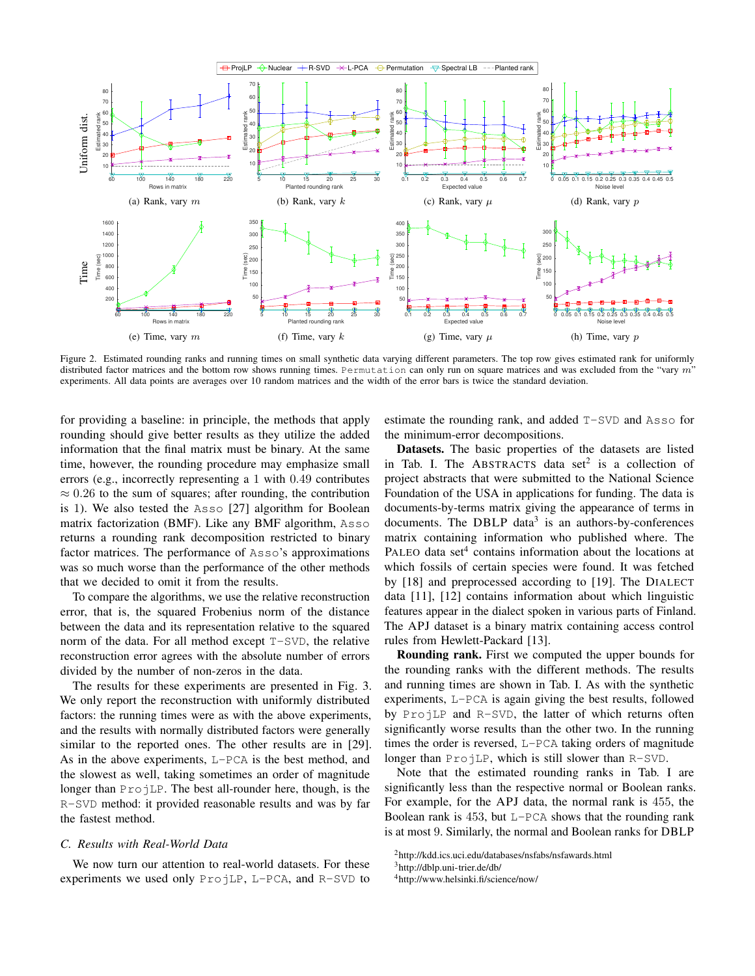

Figure 2. Estimated rounding ranks and running times on small synthetic data varying different parameters. The top row gives estimated rank for uniformly distributed factor matrices and the bottom row shows running times. Permutation can only run on square matrices and was excluded from the "vary  $m$ " experiments. All data points are averages over 10 random matrices and the width of the error bars is twice the standard deviation.

for providing a baseline: in principle, the methods that apply rounding should give better results as they utilize the added information that the final matrix must be binary. At the same time, however, the rounding procedure may emphasize small errors (e.g., incorrectly representing a 1 with 0.49 contributes  $\approx 0.26$  to the sum of squares; after rounding, the contribution is 1). We also tested the Asso [27] algorithm for Boolean matrix factorization (BMF). Like any BMF algorithm, Asso returns a rounding rank decomposition restricted to binary factor matrices. The performance of Asso's approximations was so much worse than the performance of the other methods that we decided to omit it from the results.

To compare the algorithms, we use the relative reconstruction error, that is, the squared Frobenius norm of the distance between the data and its representation relative to the squared norm of the data. For all method except T-SVD, the relative reconstruction error agrees with the absolute number of errors divided by the number of non-zeros in the data.

The results for these experiments are presented in Fig. 3. We only report the reconstruction with uniformly distributed factors: the running times were as with the above experiments, and the results with normally distributed factors were generally similar to the reported ones. The other results are in [29]. As in the above experiments, L-PCA is the best method, and the slowest as well, taking sometimes an order of magnitude longer than ProjLP. The best all-rounder here, though, is the R-SVD method: it provided reasonable results and was by far the fastest method.

#### *C. Results with Real-World Data*

We now turn our attention to real-world datasets. For these experiments we used only ProjLP, L-PCA, and R-SVD to estimate the rounding rank, and added T-SVD and Asso for the minimum-error decompositions.

Datasets. The basic properties of the datasets are listed in Tab. I. The ABSTRACTS data set<sup>2</sup> is a collection of project abstracts that were submitted to the National Science Foundation of the USA in applications for funding. The data is documents-by-terms matrix giving the appearance of terms in documents. The DBLP data<sup>3</sup> is an authors-by-conferences matrix containing information who published where. The PALEO data set $4$  contains information about the locations at which fossils of certain species were found. It was fetched by [18] and preprocessed according to [19]. The DIALECT data [11], [12] contains information about which linguistic features appear in the dialect spoken in various parts of Finland. The APJ dataset is a binary matrix containing access control rules from Hewlett-Packard [13].

Rounding rank. First we computed the upper bounds for the rounding ranks with the different methods. The results and running times are shown in Tab. I. As with the synthetic experiments, L-PCA is again giving the best results, followed by ProjLP and R-SVD, the latter of which returns often significantly worse results than the other two. In the running times the order is reversed, L-PCA taking orders of magnitude longer than ProjLP, which is still slower than R-SVD.

Note that the estimated rounding ranks in Tab. I are significantly less than the respective normal or Boolean ranks. For example, for the APJ data, the normal rank is 455, the Boolean rank is  $453$ , but L-PCA shows that the rounding rank is at most 9. Similarly, the normal and Boolean ranks for DBLP

<sup>2</sup>http://kdd.ics.uci.edu/databases/nsfabs/nsfawards.html

<sup>3</sup>http://dblp.uni-trier.de/db/

<sup>4</sup>http://www.helsinki.fi/science/now/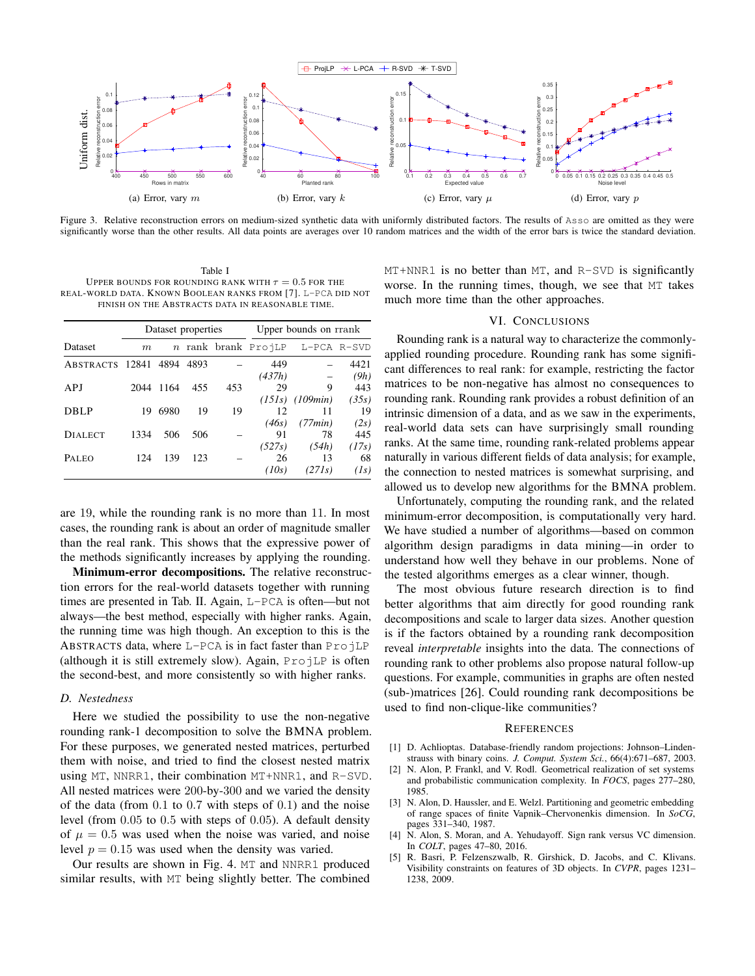

Figure 3. Relative reconstruction errors on medium-sized synthetic data with uniformly distributed factors. The results of Asso are omitted as they were significantly worse than the other results. All data points are averages over 10 random matrices and the width of the error bars is twice the standard deviation.

Table I UPPER BOUNDS FOR ROUNDING RANK WITH  $\tau=0.5$  FOR THE REAL-WORLD DATA. KNOWN BOOLEAN RANKS FROM [7]. L-PCA DID NOT FINISH ON THE ABSTRACTS DATA IN REASONABLE TIME.

|                 |        | Dataset properties |      |     | Upper bounds on rrank |             |       |  |  |  |
|-----------------|--------|--------------------|------|-----|-----------------------|-------------|-------|--|--|--|
| <b>Dataset</b>  | $_{m}$ |                    |      |     | n rank brank ProjLP   | L-PCA R-SVD |       |  |  |  |
| ABSTRACTS 12841 |        | 4894               | 4893 |     | 449                   |             | 4421  |  |  |  |
|                 |        |                    |      |     | (437h)                |             | (9h)  |  |  |  |
| APJ             | 2044   | 1164               | 455  | 453 | 29                    | 9           | 443   |  |  |  |
|                 |        |                    |      |     | (151s)                | (109min)    | (35s) |  |  |  |
| DBLP            | 19     | 6980               | 19   | 19  | 12                    | 11          | 19    |  |  |  |
|                 |        |                    |      |     | (46s)                 | (77min)     | (2s)  |  |  |  |
| <b>DIALECT</b>  | 1334   | 506                | 506  |     | 91                    | 78          | 445   |  |  |  |
|                 |        |                    |      |     | (527s)                | (54h)       | (17s) |  |  |  |
| PALEO           | 124    | 139                | 123  |     | 26                    | 13          | 68    |  |  |  |
|                 |        |                    |      |     | (10s)                 | (271s)      | (Is)  |  |  |  |

are 19, while the rounding rank is no more than 11. In most cases, the rounding rank is about an order of magnitude smaller than the real rank. This shows that the expressive power of the methods significantly increases by applying the rounding.

Minimum-error decompositions. The relative reconstruction errors for the real-world datasets together with running times are presented in Tab. II. Again, L-PCA is often—but not always—the best method, especially with higher ranks. Again, the running time was high though. An exception to this is the ABSTRACTS data, where  $L-PCA$  is in fact faster than  $ProjLP$ (although it is still extremely slow). Again,  $ProofLP$  is often the second-best, and more consistently so with higher ranks.

#### *D. Nestedness*

Here we studied the possibility to use the non-negative rounding rank-1 decomposition to solve the BMNA problem. For these purposes, we generated nested matrices, perturbed them with noise, and tried to find the closest nested matrix using MT, NNRR1, their combination MT+NNR1, and R-SVD. All nested matrices were 200-by-300 and we varied the density of the data (from 0.1 to 0.7 with steps of 0.1) and the noise level (from 0.05 to 0.5 with steps of 0.05). A default density of  $\mu = 0.5$  was used when the noise was varied, and noise level  $p = 0.15$  was used when the density was varied.

Our results are shown in Fig. 4. MT and NNRR1 produced similar results, with MT being slightly better. The combined MT+NNR1 is no better than MT, and R-SVD is significantly worse. In the running times, though, we see that MT takes much more time than the other approaches.

#### VI. CONCLUSIONS

Rounding rank is a natural way to characterize the commonlyapplied rounding procedure. Rounding rank has some significant differences to real rank: for example, restricting the factor matrices to be non-negative has almost no consequences to rounding rank. Rounding rank provides a robust definition of an intrinsic dimension of a data, and as we saw in the experiments, real-world data sets can have surprisingly small rounding ranks. At the same time, rounding rank-related problems appear naturally in various different fields of data analysis; for example, the connection to nested matrices is somewhat surprising, and allowed us to develop new algorithms for the BMNA problem.

Unfortunately, computing the rounding rank, and the related minimum-error decomposition, is computationally very hard. We have studied a number of algorithms—based on common algorithm design paradigms in data mining—in order to understand how well they behave in our problems. None of the tested algorithms emerges as a clear winner, though.

The most obvious future research direction is to find better algorithms that aim directly for good rounding rank decompositions and scale to larger data sizes. Another question is if the factors obtained by a rounding rank decomposition reveal *interpretable* insights into the data. The connections of rounding rank to other problems also propose natural follow-up questions. For example, communities in graphs are often nested (sub-)matrices [26]. Could rounding rank decompositions be used to find non-clique-like communities?

#### **REFERENCES**

- [1] D. Achlioptas. Database-friendly random projections: Johnson–Lindenstrauss with binary coins. *J. Comput. System Sci.*, 66(4):671–687, 2003.
- [2] N. Alon, P. Frankl, and V. Rodl. Geometrical realization of set systems and probabilistic communication complexity. In *FOCS*, pages 277–280, 1985.
- [3] N. Alon, D. Haussler, and E. Welzl. Partitioning and geometric embedding of range spaces of finite Vapnik–Chervonenkis dimension. In *SoCG*, pages 331–340, 1987.
- [4] N. Alon, S. Moran, and A. Yehudayoff. Sign rank versus VC dimension. In *COLT*, pages 47–80, 2016.
- [5] R. Basri, P. Felzenszwalb, R. Girshick, D. Jacobs, and C. Klivans. Visibility constraints on features of 3D objects. In *CVPR*, pages 1231– 1238, 2009.